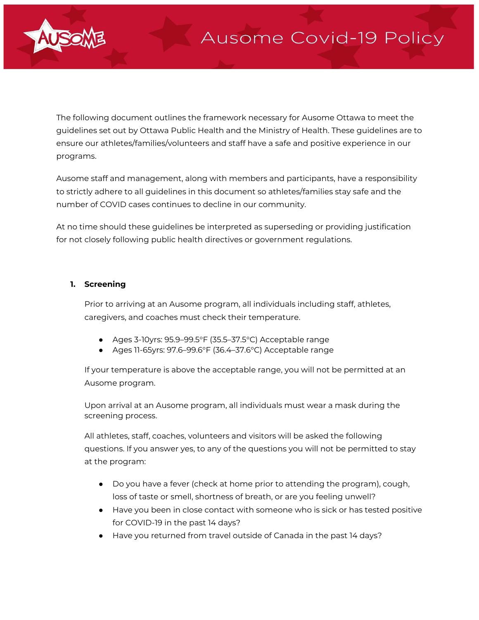

The following document outlines the framework necessary for Ausome Ottawa to meet the guidelines set out by Ottawa Public Health and the Ministry of Health. These guidelines are to ensure our athletes/families/volunteers and staff have a safe and positive experience in our programs.

Ausome staff and management, along with members and participants, have a responsibility to strictly adhere to all guidelines in this document so athletes/families stay safe and the number of COVID cases continues to decline in our community.

At no time should these guidelines be interpreted as superseding or providing justification for not closely following public health directives or government regulations.

## **1. Screening**

Prior to arriving at an Ausome program, all individuals including staff, athletes, caregivers, and coaches must check their temperature.

- Ages 3-10yrs: 95.9–99.5°F (35.5–37.5°C) Acceptable range
- Ages 11-65yrs: 97.6–99.6°F (36.4–37.6°C) Acceptable range

If your temperature is above the acceptable range, you will not be permitted at an Ausome program.

Upon arrival at an Ausome program, all individuals must wear a mask during the screening process.

All athletes, staff, coaches, volunteers and visitors will be asked the following questions. If you answer yes, to any of the questions you will not be permitted to stay at the program:

- Do you have a fever (check at home prior to attending the program), cough, loss of taste or smell, shortness of breath, or are you feeling unwell?
- Have you been in close contact with someone who is sick or has tested positive for COVID-19 in the past 14 days?
- Have you returned from travel outside of Canada in the past 14 days?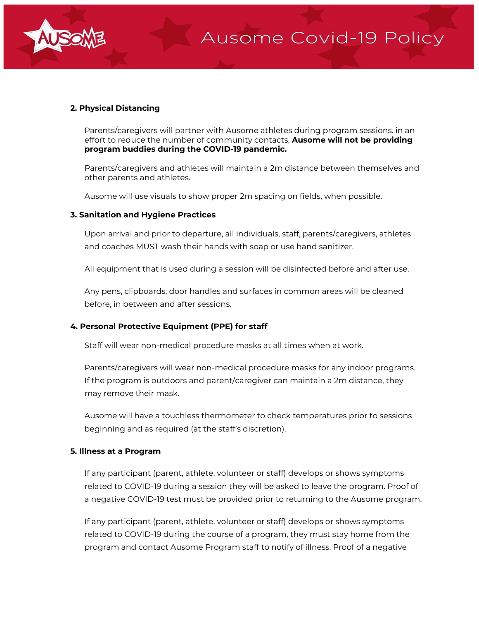

# **2. Physical Distancing**

Parents/caregivers will partner with Ausome athletes during program sessions. in an effort to reduce the number of community contacts, **Ausome will not be providing program buddies during the COVID-19 pandemic.**

Parents/caregivers and athletes will maintain a 2m distance between themselves and other parents and athletes.

Ausome will use visuals to show proper 2m spacing on fields, when possible.

### **3. Sanitation and Hygiene Practices**

Upon arrival and prior to departure, all individuals, staff, parents/caregivers, athletes and coaches MUST wash their hands with soap or use hand sanitizer.

All equipment that is used during a session will be disinfected before and after use.

Any pens, clipboards, door handles and surfaces in common areas will be cleaned before, in between and after sessions.

# **4. Personal Protective Equipment (PPE) for staff**

Staff will wear non-medical procedure masks at all times when at work.

Parents/caregivers will wear non-medical procedure masks for any indoor programs. If the program is outdoors and parent/caregiver can maintain a 2m distance, they may remove their mask.

Ausome will have a touchless thermometer to check temperatures prior to sessions beginning and as required (at the staff's discretion).

### **5. Illness at a Program**

If any participant (parent, athlete, volunteer or staff) develops or shows symptoms related to COVID-19 during a session they will be asked to leave the program. Proof of a negative COVID-19 test must be provided prior to returning to the Ausome program.

If any participant (parent, athlete, volunteer or staff) develops or shows symptoms related to COVID-19 during the course of a program, they must stay home from the program and contact Ausome Program staff to notify of illness. Proof of a negative